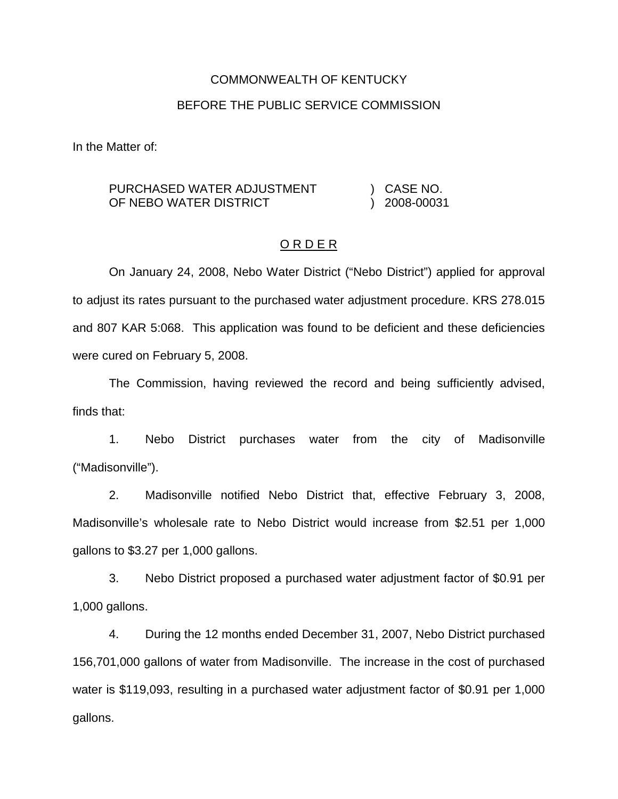# COMMONWEALTH OF KENTUCKY BEFORE THE PUBLIC SERVICE COMMISSION

In the Matter of:

#### PURCHASED WATER ADJUSTMENT OF NEBO WATER DISTRICT ) CASE NO. ) 2008-00031

# O R D E R

On January 24, 2008, Nebo Water District ("Nebo District") applied for approval to adjust its rates pursuant to the purchased water adjustment procedure. KRS 278.015 and 807 KAR 5:068. This application was found to be deficient and these deficiencies were cured on February 5, 2008.

The Commission, having reviewed the record and being sufficiently advised, finds that:

1. Nebo District purchases water from the city of Madisonville ("Madisonville").

2. Madisonville notified Nebo District that, effective February 3, 2008, Madisonville's wholesale rate to Nebo District would increase from \$2.51 per 1,000 gallons to \$3.27 per 1,000 gallons.

3. Nebo District proposed a purchased water adjustment factor of \$0.91 per 1,000 gallons.

4. During the 12 months ended December 31, 2007, Nebo District purchased 156,701,000 gallons of water from Madisonville. The increase in the cost of purchased water is \$119,093, resulting in a purchased water adjustment factor of \$0.91 per 1,000 gallons.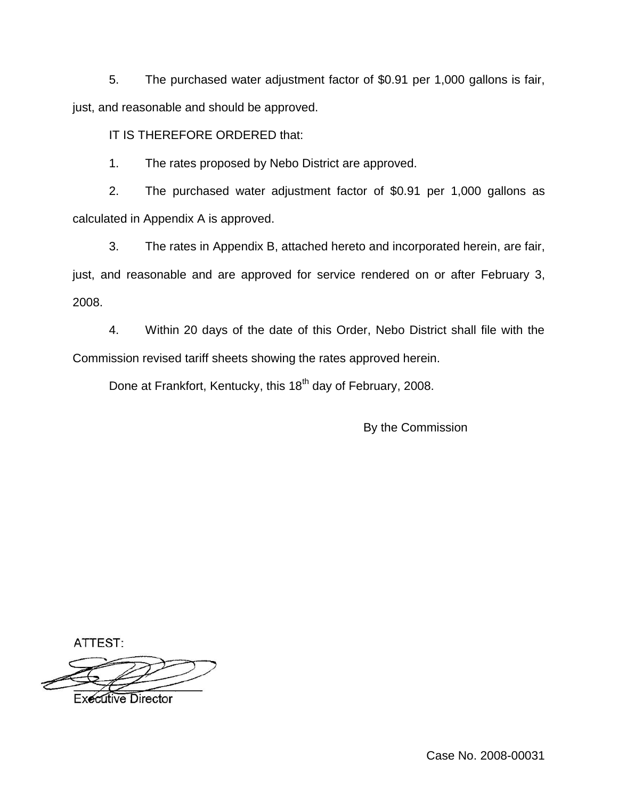5. The purchased water adjustment factor of \$0.91 per 1,000 gallons is fair, just, and reasonable and should be approved.

# IT IS THEREFORE ORDERED that:

1. The rates proposed by Nebo District are approved.

2. The purchased water adjustment factor of \$0.91 per 1,000 gallons as calculated in Appendix A is approved.

3. The rates in Appendix B, attached hereto and incorporated herein, are fair, just, and reasonable and are approved for service rendered on or after February 3, 2008.

4. Within 20 days of the date of this Order, Nebo District shall file with the Commission revised tariff sheets showing the rates approved herein.

Done at Frankfort, Kentucky, this 18<sup>th</sup> day of February, 2008.

By the Commission

ATTEST:

**Executive Director** 

Case No. 2008-00031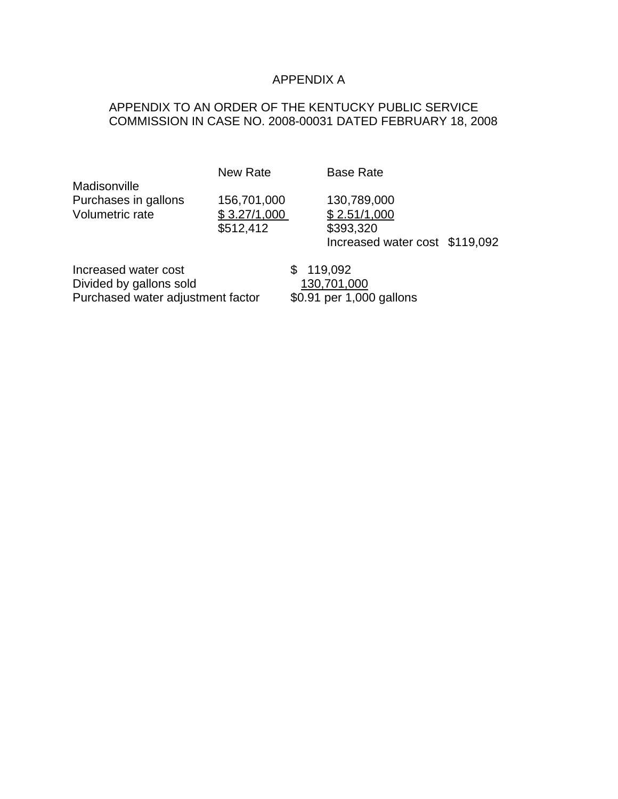# APPENDIX A

# APPENDIX TO AN ORDER OF THE KENTUCKY PUBLIC SERVICE COMMISSION IN CASE NO. 2008-00031 DATED FEBRUARY 18, 2008

New Rate Base Rate

Madisonville Purchases in gallons 156,701,000 130,789,000<br>Volumetric rate  $$3.27/1,000$   $$2.51/1,000$ Volumetric rate  $$3.27/1,000$ 

\$512,412 \$393,320

Increased water cost \$119,092

Increased water cost  $$ 119,092$ Divided by gallons sold 130,701,000<br>Purchased water adjustment factor \$0.91 per 1,000 gallons Purchased water adjustment factor